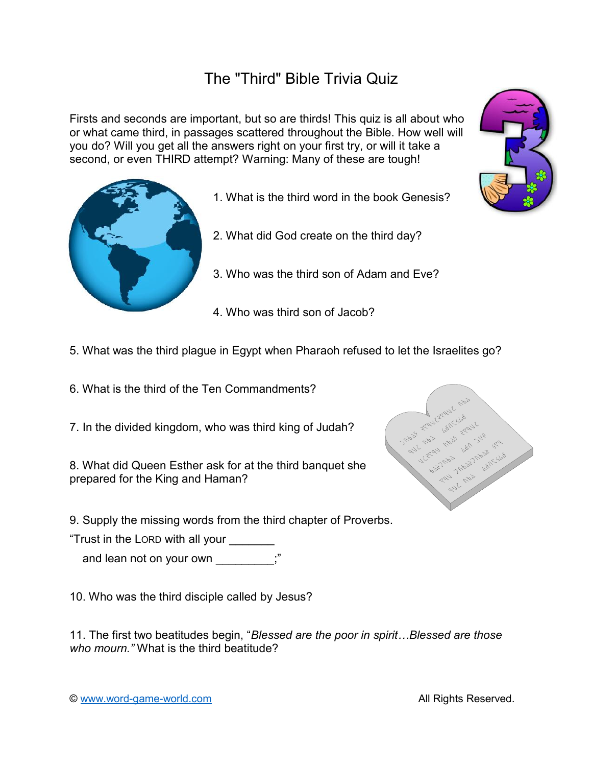## The "Third" Bible Trivia Quiz

Firsts and seconds are important, but so are thirds! This quiz is all about who or what came third, in passages scattered throughout the Bible. How well will you do? Will you get all the answers right on your first try, or will it take a second, or even THIRD attempt? Warning: Many of these are tough!

- 1. What is the third word in the book Genesis?
- 2. What did God create on the third day?
- 3. Who was the third son of Adam and Eve?
- 4. Who was third son of Jacob?
- 5. What was the third plague in Egypt when Pharaoh refused to let the Israelites go?
- 6. What is the third of the Ten Commandments?
- 7. In the divided kingdom, who was third king of Judah?

8. What did Queen Esther ask for at the third banquet she prepared for the King and Haman?

9. Supply the missing words from the third chapter of Proverbs.

"Trust in the LORD with all your \_\_\_\_\_\_\_

and lean not on your own \_\_\_\_\_\_\_\_;"

10. Who was the third disciple called by Jesus?

*who mourn."* What is the third beatitude? 11. The first two beatitudes begin, "*Blessed are the poor in spirit…Blessed are those*